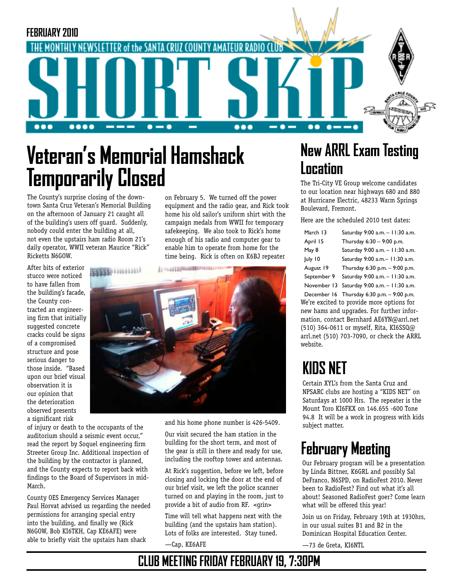

# **Veteran's Memorial Hamshack Temporarily Closed**

The County's surprise closing of the downtown Santa Cruz Veteran's Memorial Building on the afternoon of January 21 caught all of the building's users off guard. Suddenly, nobody could enter the building at all, not even the upstairs ham radio Room 21's daily operator, WWII veteran Maurice "Rick" Ricketts N6GOW.

After bits of exterior stucco were noticed to have fallen from the building's facade, the County contracted an engineering firm that initially suggested concrete cracks could be signs of a compromised structure and pose serious danger to those inside. "Based upon our brief visual observation it is our opinion that the deterioration observed presents a significant risk

of injury or death to the occupants of the auditorium should a seismic event occur," read the report by Soquel engineering firm Streeter Group Inc. Additional inspection of the building by the contractor is planned, and the County expects to report back with findings to the Board of Supervisors in mid-March.

County OES Emergency Services Manager Paul Horvat advised us regarding the needed permissions for arranging special entry into the building, and finally we (Rick N6GOW, Bob KI6TKH, Cap KE6AFE) were able to briefly visit the upstairs ham shack

on February 5. We turned off the power equipment and the radio gear, and Rick took home his old sailor's uniform shirt with the campaign medals from WWII for temporary safekeeping. We also took to Rick's home enough of his radio and computer gear to enable him to operate from home for the time being. Rick is often on K6BJ repeater



and his home phone number is 426-5409.

Our visit secured the ham station in the building for the short term, and most of the gear is still in there and ready for use, including the rooftop tower and antennas.

At Rick's suggestion, before we left, before closing and locking the door at the end of our brief visit, we left the police scanner turned on and playing in the room, just to provide a bit of audio from RF. <grin>

Time will tell what happens next with the building (and the upstairs ham station). Lots of folks are interested. Stay tuned.

—Cap, KE6AFE

#### **New ARRL Exam Testing Location**

The Tri-City VE Group welcome candidates to our location near highways 680 and 880 at Hurricane Electric, 48233 Warm Springs Boulevard, Fremont.

Here are the scheduled 2010 test dates:

| March 13    | Saturday 9:00 a.m. - 11:30 a.m.             |
|-------------|---------------------------------------------|
| April 15    | Thursday 6:30 - 9:00 p.m.                   |
| May 8       | Saturday 9:00 a.m. - 11:30 a.m.             |
| July 10     | Saturday 9:00 a.m.- 11:30 a.m.              |
| August 19   | Thursday 6:30 p.m. - 9:00 p.m.              |
| September 9 | Saturday 9:00 a.m. - 11:30 a.m.             |
|             | November 13 Saturday 9:00 a.m. - 11:30 a.m. |

December 16 Thursday 6:30 p.m. – 9:00 p.m. We're excited to provide more options for new hams and upgrades. For further information, contact Bernhard AE6YN@arrl.net (510) 364-0611 or myself, Rita, KI6SSQ@ arrl.net (510) 703-7090, or check the ARRL website.

# **KIDS NET**

Certain XYL's from the Santa Cruz and NPSARC clubs are hosting a "KIDS NET" on Saturdays at 1000 Hrs. The repeater is the Mount Toro KI6FKX on 146.655 -600 Tone 94.8 It will be a work in progress with kids subject matter.

### **February Meeting**

Our February program will be a presentation by Linda Bittner, K6GRL and possibly Sal DeFranco, N6SPD, on RadioFest 2010. Never been to RadioFest? Find out what it's all about! Seasoned RadioFest goer? Come learn what will be offered this year!

Join us on Friday, February 19th at 1930hrs, in our usual suites B1 and B2 in the Dominican Hospital Education Center.

—73 de Greta, KI6NTL

#### **CLUB MEETING FRIDAY FEBRUARY 19, 7:30PM**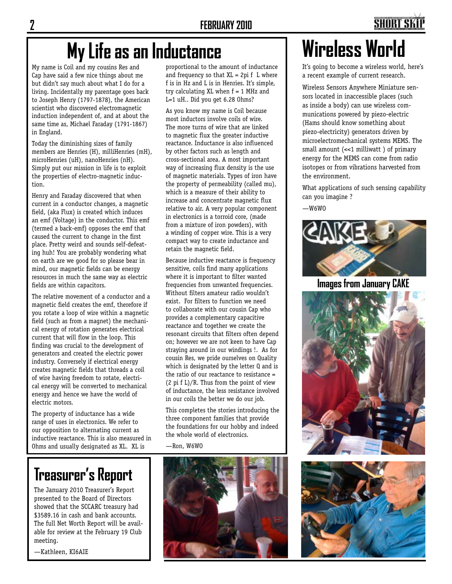# **My Life as an Inductance Nightless World**

My name is Coil and my cousins Res and Cap have said a few nice things about me but didn't say much about what I do for a living. Incidentally my parentage goes back to Joseph Henry (1797-1878), the American scientist who discovered electromagnetic induction independent of, and at about the same time as, Michael Faraday (1791-1867) in England.

Today the diminishing sizes of family members are Henries (H), milliHenries (mH), microHenries (uH), nanoHenries (nH). Simply put our mission in life is to exploit the properties of electro-magnetic induction.

Henry and Faraday discovered that when current in a conductor changes, a magnetic field, (aka Flux) is created which induces an emf (Voltage) in the conductor. This emf (termed a back-emf) opposes the emf that caused the current to change in the first place. Pretty weird and sounds self-defeating huh! You are probably wondering what on earth are we good for so please bear in mind, our magnetic fields can be energy resources in much the same way as electric fields are within capacitors.

The relative movement of a conductor and a magnetic field creates the emf, therefore if you rotate a loop of wire within a magnetic field (such as from a magnet) the mechanical energy of rotation generates electrical current that will flow in the loop. This finding was crucial to the development of generators and created the electric power industry. Conversely if electrical energy creates magnetic fields that threads a coil of wire having freedom to rotate, electrical energy will be converted to mechanical energy and hence we have the world of electric motors.

The property of inductance has a wide range of uses in electronics. We refer to our opposition to alternating current as inductive reactance. This is also measured in Ohms and usually designated as XL. XL is

# **Treasurer's Report**

The January 2010 Treasurer's Report presented to the Board of Directors showed that the SCCARC treasury had \$3589.16 in cash and bank accounts. The full Net Worth Report will be available for review at the February 19 Club meeting.

—Kathleen, KI6AIE

proportional to the amount of inductance and frequency so that  $XL = 2pi f L$  where f is in Hz and L is in Henries. It's simple, try calculating XL when f = 1 MHz and L=1 uH.. Did you get 6.28 Ohms?

As you know my name is Coil because most inductors involve coils of wire. The more turns of wire that are linked to magnetic flux the greater inductive reactance. Inductance is also influenced by other factors such as length and cross-sectional area. A most important way of increasing flux density is the use of magnetic materials. Types of iron have the property of permeability (called mu), which is a measure of their ability to increase and concentrate magnetic flux relative to air. A very popular component in electronics is a torroid core, (made from a mixture of iron powders), with a winding of copper wire. This is a very compact way to create inductance and retain the magnetic field.

Because inductive reactance is frequency sensitive, coils find many applications where it is important to filter wanted frequencies from unwanted frequencies. Without filters amateur radio wouldn't exist. For filters to function we need to collaborate with our cousin Cap who provides a complementary capacitive reactance and together we create the resonant circuits that filters often depend on; however we are not keen to have Cap straying around in our windings !. As for cousin Res, we pride ourselves on Quality which is designated by the letter Q and is the ratio of our reactance to resistance =  $(2 \pi f L)/R$ . Thus from the point of view of inductance, the less resistance involved in our coils the better we do our job.

This completes the stories introducing the three component families that provide the foundations for our hobby and indeed the whole world of electronics.

—Ron, W6WO



It's going to become a wireless world, here's a recent example of current research.

Wireless Sensors Anywhere Miniature sensors located in inaccessible places (such as inside a body) can use wireless communications powered by piezo-electric (Hams should know something about piezo-electricity) generators driven by microelectromechanical systems MEMS. The small amount (<<1 milliwatt ) of primary energy for the MEMS can come from radio isotopes or from vibrations harvested from the environment.

What applications of such sensing capability can you imagine ?

 $-W6WO$ 



**Images from January CAKE**



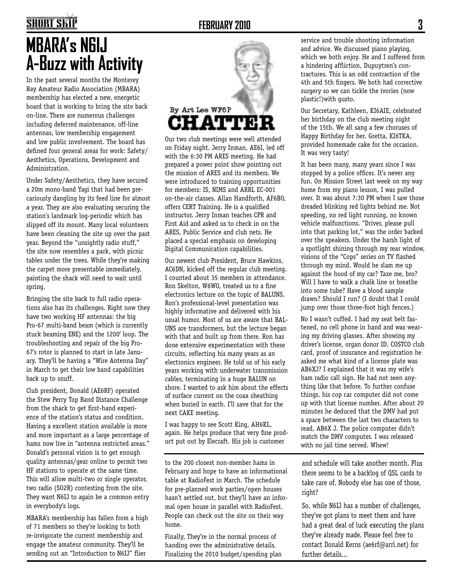### **SHORT SKIP**

# **MBARA's N6IJ A-Buzz with Activity**

In the past several months the Monterey Bay Amateur Radio Association (MBARA) membership has elected a new, energetic board that is working to bring the site back on-line. There are numerous challenges including deferred maintenance, off-line antennas, low membership engagement and low public involvement. The board has defined four general areas for work: Safety/ Aesthetics, Operations, Development and Administration.

Under Safety/Aesthetics, they have secured a 20m mono-band Yagi that had been precariously dangling by its feed line for almost a year. They are also evaluating securing the station's landmark log-periodic which has slipped off its mount. Many local volunteers have been cleaning the site up over the past year. Beyond the "unsightly radio stuff," the site now resembles a park, with picnic tables under the trees. While they're making the carpet more presentable immediately, painting the shack will need to wait until spring.

Bringing the site back to full radio operations also has its challenges. Right now they have two working HF antennas: the big Pro-67 multi-band beam (which is currently stuck beaming ENE) and the 1200' loop. The troubleshooting and repair of the big Pro-67's rotor is planned to start in late January. They'll be having a "Wire Antenna Day" in March to get their low band capabilities back up to snuff.

Club president, Donald (AE6RF) operated the Stew Perry Top Band Distance Challenge from the shack to get first-hand experience of the station's status and condition. Having a excellent station available is more and more important as a large percentage of hams now live in "antenna restricted areas." Donald's personal vision is to get enough quality antennas/gear online to permit two HF stations to operate at the same time. This will allow multi-two or single operator, two radio (SO2R) contesting from the site. They want N6IJ to again be a common entry in everybody's logs.

MBARA's membership has fallen from a high of 71 members so they're looking to both re-invigorate the current membership and engage the amateur community. They'll be sending out an "Introduction to N6IJ" flier



Our two club meetings were well attended on Friday night. Jerry Inman, AE6I, led off with the 6:30 PM ARES meeting. He had prepared a power point show pointing out the mission of ARES and its members. We were introduced to training opportunities for members: IS, NIMS and ARRL EC-001 on-the-air classes. Allan Handforth, AF6BO, offers CERT Training. He is a qualified instructor. Jerry Inman teaches CPR and First Aid and asked us to check in on the ARES, Public Service and club nets. He placed a special emphasis on developing Digital Communication capabilities.

Our newest club President, Bruce Hawkins, AC6DN, kicked off the regular club meeting. I counted about 35 members in attendance. Ron Skelton, W6WO, treated us to a fine electronics lecture on the topic of BALUNS. Ron's professional-level presentation was highly informative and delivered with his usual humor. Most of us are aware that BAL-UNS are transformers, but the lecture began with that and built up from there. Ron has done extensive experimentation with these circuits, reflecting his many years as an electronics engineer. He told us of his early years working with underwater transmission cables, terminating in a huge BALUN on shore. I wanted to ask him about the effects of surface current on the coax sheathing when buried in earth. I'll save that for the next CAKE meeting.

I was happy to see Scott King, AH6KL, again. He helps produce that very fine product put out by Elecraft. His job is customer

to the 200 closest non-member hams in February and hope to have an informational table at RadioFest in March. The schedule for pre-planned work parties/open houses hasn't settled out, but they'll have an informal open house in parallel with RadioFest. People can check out the site on their way home.

Finally, They're in the normal process of handing over the administrative details. Finalizing the 2010 budget/spending plan service and trouble shooting information and advice. We discussed piano playing, which we both enjoy. He and I suffered from a hindering affliction, Dupuytren's contractures. This is an odd contraction of the 4th and 5th fingers. We both had corrective surgery so we can tickle the ivories (now plastic!)with gusto.

Our Secretary, Kathleen, KI6AIE, celebrated her birthday on the club meeting night of the 15th. We all sang a few choruses of Happy Birthday for her. Gretta, KI6TKA, provided homemade cake for the occasion. It was very tasty!

It has been many, many years since I was stopped by a police officer. It's never any fun. On Mission Street last week on my way home from my piano lesson, I was pulled over. It was about 7:30 PM when I saw those dreaded blinking red lights behind me. Not speeding, no red light running, no known vehicle malfunctions. "Driver, please pull into that parking lot," was the order barked over the speakers. Under the harsh light of a spotlight shining through my rear window, visions of the "Cops" series on TV flashed through my mind. Would he slam me up against the hood of my car? Taze me, bro? Will I have to walk a chalk line or breathe into some tube? Have a blood sample drawn? Should I run? (I doubt that I could jump over those three-foot high fences.)

No I wasn't cuffed. I had my seat belt fastened, no cell phone in hand and was wearing my driving glasses. After showing my driver's license, organ donor ID, COSTCO club card, proof of insurance and registration he asked me what kind of a license plate was AB6XJ? I explained that it was my wife's ham radio call sign. He had not seen anything like that before. To further confuse things, his cop car computer did not come up with that license number. After about 20 minutes he deduced that the DMV had put a space between the last two characters to read, AB6X J. The police computer didn't match the DMV computer. I was released with no jail time served. Whew!

and schedule will take another month. Plus there seems to be a backlog of QSL cards to take care of. Nobody else has one of those, right?

So, while N6IJ has a number of challenges, they've got plans to meet them and have had a great deal of luck executing the plans they've already made. Please feel free to contact Donald Kerns (ae6rf@arrl.net) for further details...